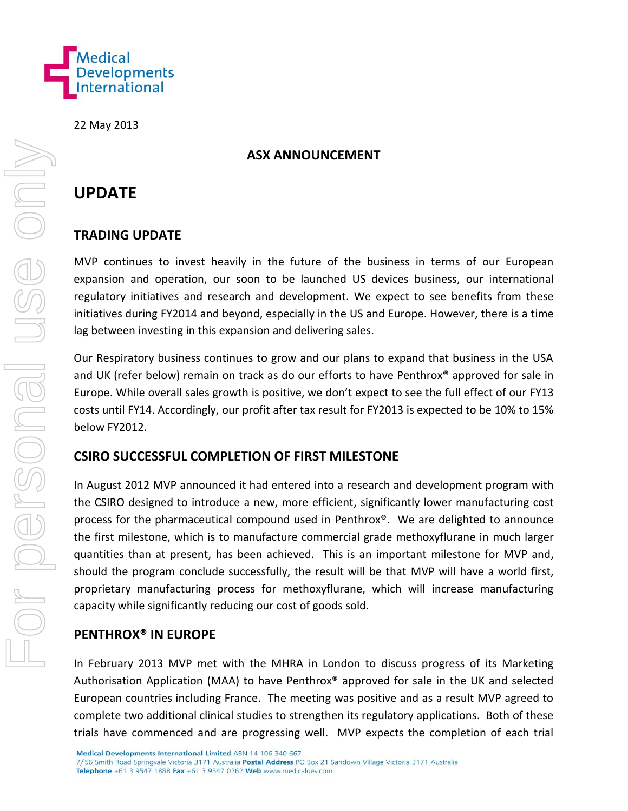

22 May 2013

## **ASX ANNOUNCEMENT**

# **UPDATE**

# **TRADING UPDATE**

MVP continues to invest heavily in the future of the business in terms of our European expansion and operation, our soon to be launched US devices business, our international regulatory initiatives and research and development. We expect to see benefits from these initiatives during FY2014 and beyond, especially in the US and Europe. However, there is a time lag between investing in this expansion and delivering sales.

Our Respiratory business continues to grow and our plans to expand that business in the USA and UK (refer below) remain on track as do our efforts to have Penthrox® approved for sale in Europe. While overall sales growth is positive, we don't expect to see the full effect of our FY13 costs until FY14. Accordingly, our profit after tax result for FY2013 is expected to be 10% to 15% below FY2012.

# **CSIRO SUCCESSFUL COMPLETION OF FIRST MILESTONE**

In August 2012 MVP announced it had entered into a research and development program with the CSIRO designed to introduce a new, more efficient, significantly lower manufacturing cost process for the pharmaceutical compound used in Penthrox®. We are delighted to announce the first milestone, which is to manufacture commercial grade methoxyflurane in much larger quantities than at present, has been achieved. This is an important milestone for MVP and, should the program conclude successfully, the result will be that MVP will have a world first, proprietary manufacturing process for methoxyflurane, which will increase manufacturing capacity while significantly reducing our cost of goods sold.

#### **PENTHROX® IN EUROPE**

In February 2013 MVP met with the MHRA in London to discuss progress of its Marketing Authorisation Application (MAA) to have Penthrox® approved for sale in the UK and selected European countries including France. The meeting was positive and as a result MVP agreed to complete two additional clinical studies to strengthen its regulatory applications. Both of these trials have commenced and are progressing well. MVP expects the completion of each trial